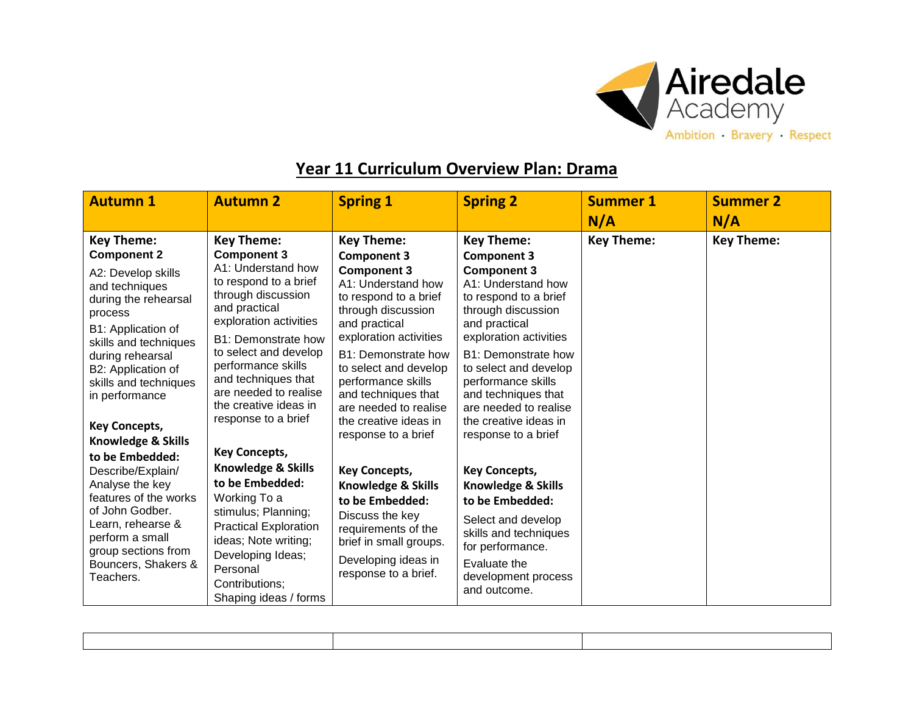

## **Year 11 Curriculum Overview Plan: Drama**

| <b>Autumn 1</b>                                                                                                                                                                                                                                                                                                                                                              | <b>Autumn 2</b>                                                                                                                                                                                                  | <b>Spring 1</b>                                                                                                                                                                                      | <b>Spring 2</b>                                                                                                                                                                                    | <b>Summer 1</b>   | <b>Summer 2</b> |
|------------------------------------------------------------------------------------------------------------------------------------------------------------------------------------------------------------------------------------------------------------------------------------------------------------------------------------------------------------------------------|------------------------------------------------------------------------------------------------------------------------------------------------------------------------------------------------------------------|------------------------------------------------------------------------------------------------------------------------------------------------------------------------------------------------------|----------------------------------------------------------------------------------------------------------------------------------------------------------------------------------------------------|-------------------|-----------------|
|                                                                                                                                                                                                                                                                                                                                                                              |                                                                                                                                                                                                                  |                                                                                                                                                                                                      |                                                                                                                                                                                                    | N/A               | N/A             |
| <b>Key Theme:</b><br><b>Key Theme:</b><br><b>Component 2</b><br><b>Component 3</b><br>A1: Understand how<br>A2: Develop skills<br>to respond to a brief<br>and techniques<br>through discussion<br>during the rehearsal<br>and practical<br>process<br>exploration activities<br>B1: Application of<br>B1: Demonstrate how<br>skills and techniques<br>to select and develop | <b>Key Theme:</b><br><b>Component 3</b><br><b>Component 3</b><br>A1: Understand how<br>to respond to a brief<br>through discussion<br>and practical<br>exploration activities<br>B1: Demonstrate how             | <b>Key Theme:</b><br><b>Component 3</b><br><b>Component 3</b><br>A1: Understand how<br>to respond to a brief<br>through discussion<br>and practical<br>exploration activities<br>B1: Demonstrate how | <b>Key Theme:</b>                                                                                                                                                                                  | <b>Key Theme:</b> |                 |
| during rehearsal<br>B2: Application of<br>skills and techniques<br>in performance<br><b>Key Concepts,</b><br>Knowledge & Skills<br>to be Embedded:                                                                                                                                                                                                                           | performance skills<br>and techniques that<br>are needed to realise<br>the creative ideas in<br>response to a brief<br><b>Key Concepts,</b>                                                                       | to select and develop<br>performance skills<br>and techniques that<br>are needed to realise<br>the creative ideas in<br>response to a brief                                                          | to select and develop<br>performance skills<br>and techniques that<br>are needed to realise<br>the creative ideas in<br>response to a brief                                                        |                   |                 |
| Describe/Explain/<br>Analyse the key<br>features of the works<br>of John Godber.<br>Learn, rehearse &<br>perform a small<br>group sections from<br>Bouncers, Shakers &<br>Teachers.                                                                                                                                                                                          | Knowledge & Skills<br>to be Embedded:<br>Working To a<br>stimulus; Planning;<br><b>Practical Exploration</b><br>ideas; Note writing;<br>Developing Ideas;<br>Personal<br>Contributions:<br>Shaping ideas / forms | <b>Key Concepts,</b><br>Knowledge & Skills<br>to be Embedded:<br>Discuss the key<br>requirements of the<br>brief in small groups.<br>Developing ideas in<br>response to a brief.                     | <b>Key Concepts,</b><br><b>Knowledge &amp; Skills</b><br>to be Embedded:<br>Select and develop<br>skills and techniques<br>for performance.<br>Evaluate the<br>development process<br>and outcome. |                   |                 |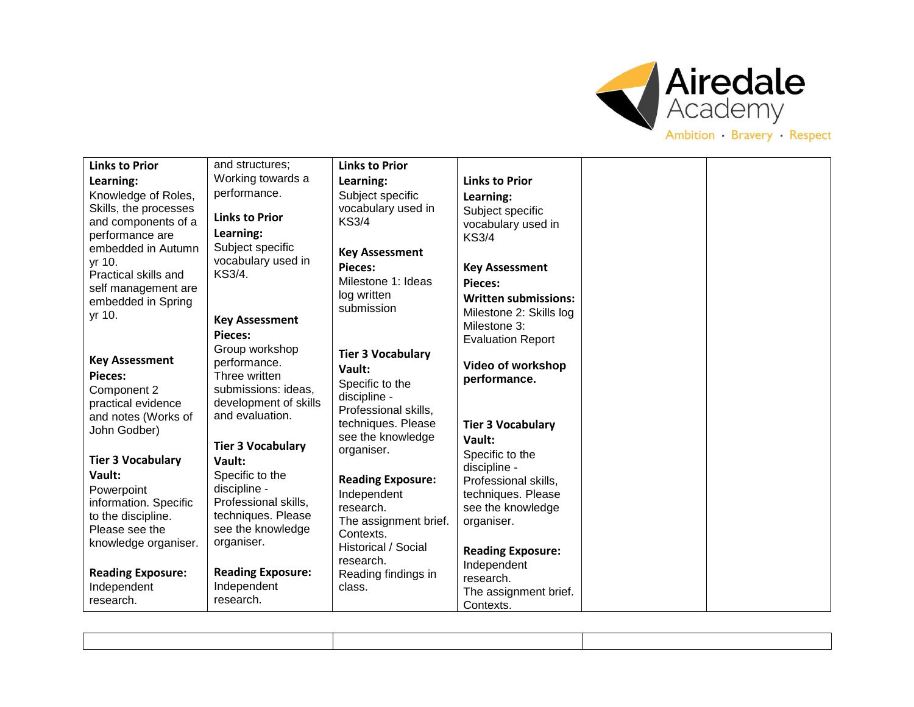

| <b>Links to Prior</b>                        | and structures;                    | <b>Links to Prior</b>                   |                                            |  |
|----------------------------------------------|------------------------------------|-----------------------------------------|--------------------------------------------|--|
| Learning:                                    | Working towards a                  | Learning:                               | <b>Links to Prior</b>                      |  |
| Knowledge of Roles,                          | performance.                       | Subject specific                        | Learning:                                  |  |
| Skills, the processes<br>and components of a | <b>Links to Prior</b>              | vocabulary used in<br><b>KS3/4</b>      | Subject specific                           |  |
| performance are                              | Learning:                          |                                         | vocabulary used in<br><b>KS3/4</b>         |  |
| embedded in Autumn                           | Subject specific                   | <b>Key Assessment</b>                   |                                            |  |
| yr 10.                                       | vocabulary used in<br>KS3/4.       | <b>Pieces:</b>                          | <b>Key Assessment</b>                      |  |
| Practical skills and<br>self management are  |                                    | Milestone 1: Ideas                      | Pieces:                                    |  |
| embedded in Spring                           |                                    | log written<br>submission               | <b>Written submissions:</b>                |  |
| yr 10.                                       | <b>Key Assessment</b>              |                                         | Milestone 2: Skills log                    |  |
|                                              | Pieces:                            |                                         | Milestone 3:<br><b>Evaluation Report</b>   |  |
|                                              | Group workshop                     | <b>Tier 3 Vocabulary</b>                |                                            |  |
| <b>Key Assessment</b><br><b>Pieces:</b>      | performance.<br>Three written      | Vault:                                  | Video of workshop                          |  |
| Component 2                                  | submissions: ideas,                | Specific to the                         | performance.                               |  |
| practical evidence                           | development of skills              | discipline -<br>Professional skills,    |                                            |  |
| and notes (Works of                          | and evaluation.                    | techniques. Please                      | <b>Tier 3 Vocabulary</b>                   |  |
| John Godber)                                 |                                    | see the knowledge                       | Vault:                                     |  |
| <b>Tier 3 Vocabulary</b>                     | <b>Tier 3 Vocabulary</b><br>Vault: | organiser.                              | Specific to the                            |  |
| Vault:                                       | Specific to the                    |                                         | discipline -                               |  |
| Powerpoint                                   | discipline -                       | <b>Reading Exposure:</b><br>Independent | Professional skills,<br>techniques. Please |  |
| information. Specific                        | Professional skills,               | research.                               | see the knowledge                          |  |
| to the discipline.                           | techniques. Please                 | The assignment brief.                   | organiser.                                 |  |
| Please see the<br>knowledge organiser.       | see the knowledge<br>organiser.    | Contexts.                               |                                            |  |
|                                              |                                    | Historical / Social<br>research.        | <b>Reading Exposure:</b>                   |  |
| <b>Reading Exposure:</b>                     | <b>Reading Exposure:</b>           | Reading findings in                     | Independent<br>research.                   |  |
| Independent                                  | Independent                        | class.                                  | The assignment brief.                      |  |
| research.                                    | research.                          |                                         | Contexts.                                  |  |